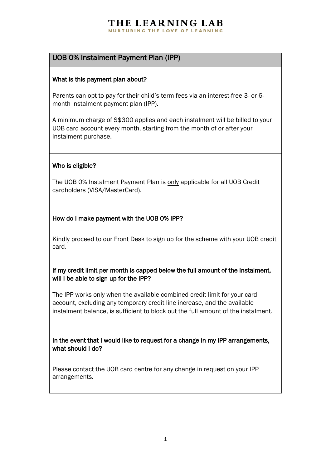#### THE LEARNING LAB NURTURING THE LOVE OF LEARNING

# UOB 0% Instalment Payment Plan (IPP)

## What is this payment plan about?

Parents can opt to pay for their child's term fees via an interest-free 3- or 6 month instalment payment plan (IPP).

A minimum charge of S\$300 applies and each instalment will be billed to your UOB card account every month, starting from the month of or after your instalment purchase.

## Who is eligible?

The UOB 0% Instalment Payment Plan is only applicable for all UOB Credit cardholders (VISA/MasterCard).

## How do I make payment with the UOB 0% IPP?

Kindly proceed to our Front Desk to sign up for the scheme with your UOB credit card.

If my credit limit per month is capped below the full amount of the instalment, will I be able to sign up for the IPP?

The IPP works only when the available combined credit limit for your card account, excluding any temporary credit line increase, and the available instalment balance, is sufficient to block out the full amount of the instalment.

In the event that I would like to request for a change in my IPP arrangements, what should I do?

Please contact the UOB card centre for any change in request on your IPP arrangements.